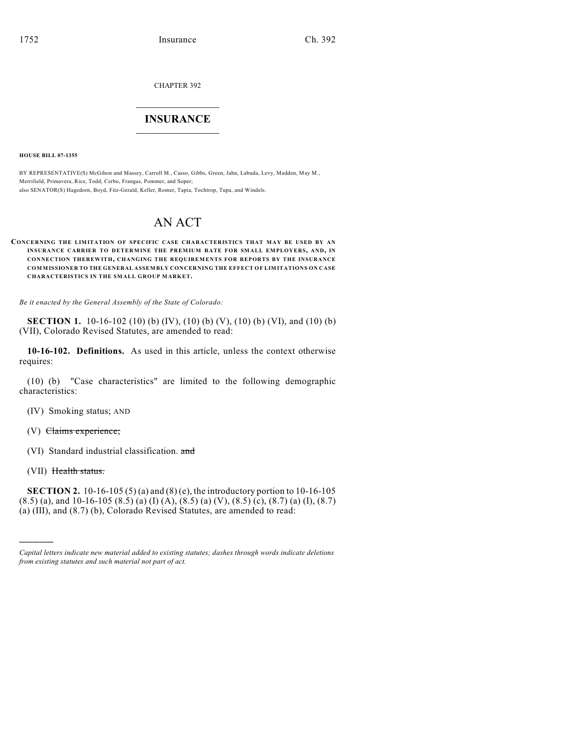CHAPTER 392

## $\mathcal{L}_\text{max}$  . The set of the set of the set of the set of the set of the set of the set of the set of the set of the set of the set of the set of the set of the set of the set of the set of the set of the set of the set **INSURANCE**  $\frac{1}{2}$  ,  $\frac{1}{2}$  ,  $\frac{1}{2}$  ,  $\frac{1}{2}$  ,  $\frac{1}{2}$  ,  $\frac{1}{2}$  ,  $\frac{1}{2}$

**HOUSE BILL 07-1355**

BY REPRESENTATIVE(S) McGihon and Massey, Carroll M., Casso, Gibbs, Green, Jahn, Labuda, Levy, Madden, May M., Merrifield, Primavera, Rice, Todd, Cerbo, Frangas, Pommer, and Soper; also SENATOR(S) Hagedorn, Boyd, Fitz-Gerald, Keller, Romer, Tapia, Tochtrop, Tupa, and Windels.

# AN ACT

#### **CONCERNING THE LIMITATION OF SPECIFIC CASE CHARACTERISTICS THAT MAY BE USED BY AN INSURANCE CARRIER TO DETERMINE THE PREMIUM RATE FOR SMALL EMPLOYERS, AND, IN CONNECTION THEREWITH, CHANGING THE REQUIREMENTS FOR REPORTS BY THE INSURANCE COMMISSIONER TO THE GENERAL ASSEMBLY CONCERNING THE EFFECT OF LIMITATIONS ON CASE CHARACTERISTICS IN THE SMALL GROUP MARKET.**

*Be it enacted by the General Assembly of the State of Colorado:*

**SECTION 1.** 10-16-102 (10) (b) (IV), (10) (b) (V), (10) (b) (VI), and (10) (b) (VII), Colorado Revised Statutes, are amended to read:

**10-16-102. Definitions.** As used in this article, unless the context otherwise requires:

(10) (b) "Case characteristics" are limited to the following demographic characteristics:

(IV) Smoking status; AND

(V) Claims experience;

(VI) Standard industrial classification. and

(VII) Health status.

)))))

**SECTION 2.** 10-16-105 (5) (a) and (8) (e), the introductory portion to 10-16-105  $(8.5)$  (a), and 10-16-105  $(8.5)$  (a) (I) (A),  $(8.5)$  (a) (V),  $(8.5)$  (c),  $(8.7)$  (a) (I),  $(8.7)$ (a) (III), and (8.7) (b), Colorado Revised Statutes, are amended to read:

*Capital letters indicate new material added to existing statutes; dashes through words indicate deletions from existing statutes and such material not part of act.*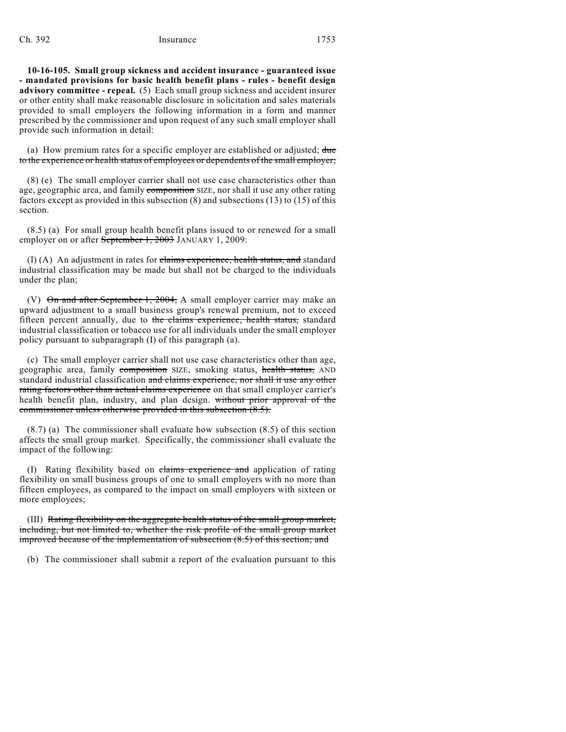#### Ch. 392 Insurance 1753

**10-16-105. Small group sickness and accident insurance - guaranteed issue - mandated provisions for basic health benefit plans - rules - benefit design advisory committee - repeal.** (5) Each small group sickness and accident insurer or other entity shall make reasonable disclosure in solicitation and sales materials provided to small employers the following information in a form and manner prescribed by the commissioner and upon request of any such small employer shall provide such information in detail:

(a) How premium rates for a specific employer are established or adjusted;  $\frac{d\mathbf{u}}{d\mathbf{v}}$ to the experience or health status of employees or dependents of the small employer;

(8) (e) The small employer carrier shall not use case characteristics other than age, geographic area, and family composition SIZE, nor shall it use any other rating factors except as provided in this subsection (8) and subsections (13) to (15) of this section.

(8.5) (a) For small group health benefit plans issued to or renewed for a small employer on or after September 1, 2003 JANUARY 1, 2009:

(I) (A) An adjustment in rates for claims experience, health status, and standard industrial classification may be made but shall not be charged to the individuals under the plan;

(V) On and after September 1, 2004, A small employer carrier may make an upward adjustment to a small business group's renewal premium, not to exceed fifteen percent annually, due to the claims experience, health status, standard industrial classification or tobacco use for all individuals under the small employer policy pursuant to subparagraph (I) of this paragraph (a).

(c) The small employer carrier shall not use case characteristics other than age, geographic area, family composition SIZE, smoking status, health status, AND standard industrial classification and claims experience, nor shall it use any other rating factors other than actual claims experience on that small employer carrier's health benefit plan, industry, and plan design. without prior approval of the commissioner unless otherwise provided in this subsection (8.5).

(8.7) (a) The commissioner shall evaluate how subsection (8.5) of this section affects the small group market. Specifically, the commissioner shall evaluate the impact of the following:

(I) Rating flexibility based on claims experience and application of rating flexibility on small business groups of one to small employers with no more than fifteen employees, as compared to the impact on small employers with sixteen or more employees;

(III) Rating flexibility on the aggregate health status of the small group market, including, but not limited to, whether the risk profile of the small group market improved because of the implementation of subsection (8.5) of this section; and

(b) The commissioner shall submit a report of the evaluation pursuant to this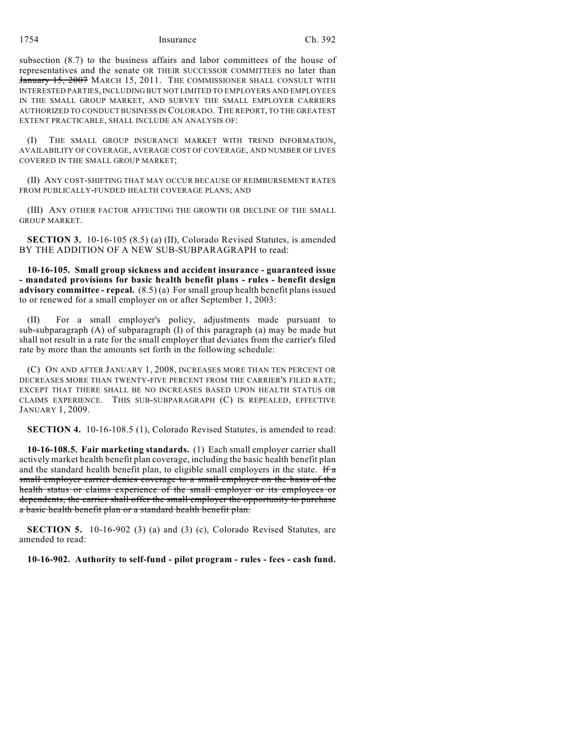1754 Insurance Ch. 392

subsection (8.7) to the business affairs and labor committees of the house of representatives and the senate OR THEIR SUCCESSOR COMMITTEES no later than January 15, 2007 MARCH 15, 2011. THE COMMISSIONER SHALL CONSULT WITH INTERESTED PARTIES, INCLUDING BUT NOT LIMITED TO EMPLOYERS AND EMPLOYEES IN THE SMALL GROUP MARKET, AND SURVEY THE SMALL EMPLOYER CARRIERS AUTHORIZED TO CONDUCT BUSINESS IN COLORADO. THE REPORT, TO THE GREATEST EXTENT PRACTICABLE, SHALL INCLUDE AN ANALYSIS OF:

(I) THE SMALL GROUP INSURANCE MARKET WITH TREND INFORMATION, AVAILABILITY OF COVERAGE, AVERAGE COST OF COVERAGE, AND NUMBER OF LIVES COVERED IN THE SMALL GROUP MARKET;

(II) ANY COST-SHIFTING THAT MAY OCCUR BECAUSE OF REIMBURSEMENT RATES FROM PUBLICALLY-FUNDED HEALTH COVERAGE PLANS; AND

(III) ANY OTHER FACTOR AFFECTING THE GROWTH OR DECLINE OF THE SMALL GROUP MARKET.

**SECTION 3.** 10-16-105 (8.5) (a) (II), Colorado Revised Statutes, is amended BY THE ADDITION OF A NEW SUB-SUBPARAGRAPH to read:

**10-16-105. Small group sickness and accident insurance - guaranteed issue - mandated provisions for basic health benefit plans - rules - benefit design advisory committee - repeal.** (8.5) (a) For small group health benefit plans issued to or renewed for a small employer on or after September 1, 2003:

(II) For a small employer's policy, adjustments made pursuant to sub-subparagraph (A) of subparagraph (I) of this paragraph (a) may be made but shall not result in a rate for the small employer that deviates from the carrier's filed rate by more than the amounts set forth in the following schedule:

(C) ON AND AFTER JANUARY 1, 2008, INCREASES MORE THAN TEN PERCENT OR DECREASES MORE THAN TWENTY-FIVE PERCENT FROM THE CARRIER'S FILED RATE; EXCEPT THAT THERE SHALL BE NO INCREASES BASED UPON HEALTH STATUS OR CLAIMS EXPERIENCE. THIS SUB-SUBPARAGRAPH (C) IS REPEALED, EFFECTIVE JANUARY 1, 2009.

**SECTION 4.** 10-16-108.5 (1), Colorado Revised Statutes, is amended to read:

**10-16-108.5. Fair marketing standards.** (1) Each small employer carrier shall actively market health benefit plan coverage, including the basic health benefit plan and the standard health benefit plan, to eligible small employers in the state. If  $\alpha$ small employer carrier denies coverage to a small employer on the basis of the health status or claims experience of the small employer or its employees or dependents, the carrier shall offer the small employer the opportunity to purchase a basic health benefit plan or a standard health benefit plan.

**SECTION 5.** 10-16-902 (3) (a) and (3) (c), Colorado Revised Statutes, are amended to read:

**10-16-902. Authority to self-fund - pilot program - rules - fees - cash fund.**